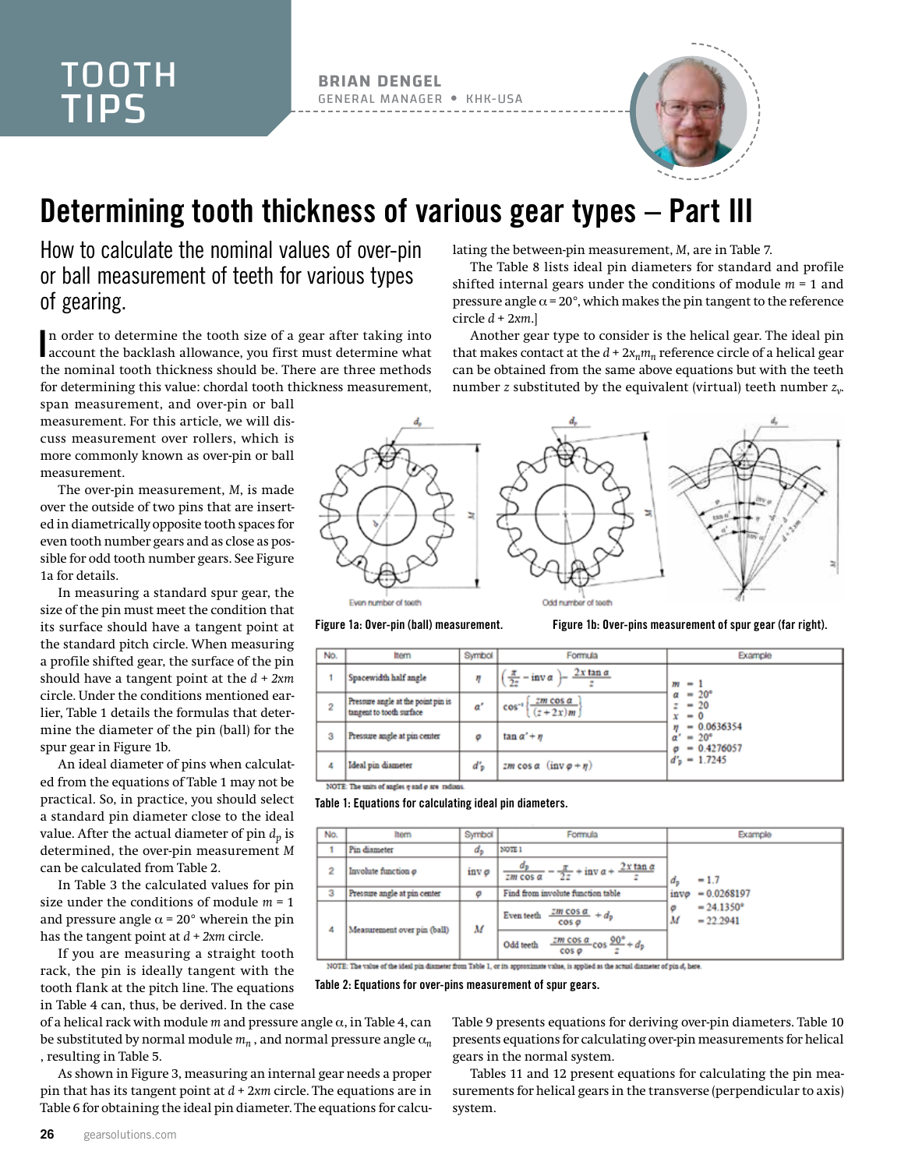**BRIAN DENGEL** GENERAL MANAGER KHK-USA



## Determining tooth thickness of various gear types – Part III

How to calculate the nominal values of over-pin or ball measurement of teeth for various types of gearing.

In order to determine the tooth size of a gear after taking into account the backlash allowance, you first must determine what account the backlash allowance, you first must determine what the nominal tooth thickness should be. There are three methods for determining this value: chordal tooth thickness measurement,

span measurement, and over-pin or ball measurement. For this article, we will discuss measurement over rollers, which is more commonly known as over-pin or ball measurement.

The over-pin measurement, *M*, is made over the outside of two pins that are inserted in diametrically opposite tooth spaces for even tooth number gears and as close as possible for odd tooth number gears. See Figure 1a for details.

In measuring a standard spur gear, the size of the pin must meet the condition that its surface should have a tangent point at the standard pitch circle. When measuring a profile shifted gear, the surface of the pin should have a tangent point at the *d + 2xm* circle. Under the conditions mentioned earlier, Table 1 details the formulas that determine the diameter of the pin (ball) for the spur gear in Figure 1b.

An ideal diameter of pins when calculated from the equations of Table 1 may not be practical. So, in practice, you should select a standard pin diameter close to the ideal value. After the actual diameter of pin  $d_n$  is determined, the over-pin measurement *M* can be calculated from Table 2.

In Table 3 the calculated values for pin size under the conditions of module *m* = 1 and pressure angle  $\alpha$  = 20° wherein the pin has the tangent point at *d + 2xm* circle.

If you are measuring a straight tooth rack, the pin is ideally tangent with the tooth flank at the pitch line. The equations in Table 4 can, thus, be derived. In the case

of a helical rack with module *m* and pressure angle α, in Table 4, can be substituted by normal module  $m_n$ , and normal pressure angle  $\alpha_n$ , resulting in Table 5.

As shown in Figure 3, measuring an internal gear needs a proper pin that has its tangent point at *d* + 2*xm* circle. The equations are in Table 6 for obtaining the ideal pin diameter. The equations for calculating the between-pin measurement, *M*, are in Table 7.

The Table 8 lists ideal pin diameters for standard and profile shifted internal gears under the conditions of module *m* = 1 and pressure angle  $\alpha$  = 20°, which makes the pin tangent to the reference circle *d* + 2*xm*.]

Another gear type to consider is the helical gear. The ideal pin that makes contact at the  $d + 2x_n m_n$  reference circle of a helical gear can be obtained from the same above equations but with the teeth number *z* substituted by the equivalent (virtual) teeth number *zv*.



Figure 1a: Over-pin (ball) measurement. Figure 1b: Over-pins measurement of spur gear (far right).

| No. | ltem                                                           | Symbol | Formula                                         | Example                                               |
|-----|----------------------------------------------------------------|--------|-------------------------------------------------|-------------------------------------------------------|
|     | Spacewidth half angle                                          | η      | $2x \tan \alpha$<br>$\frac{\pi}{2z}$ - inv a )- | $-1$<br>m                                             |
| 2   | Pressure angle at the point pin is<br>tangent to tooth surface | ď      | $2m \cos \alpha$<br>$cos^{-1}$<br>$(z+2x)m$     | $= 20^{\circ}$<br>$-20$<br>z<br>$= 0$<br>x            |
| 3   | Pressure angle at pin center                                   | ۰      | $\tan \alpha' + n$                              | $= 0.0636354$<br>$= 20^{\circ}$<br>α<br>$= 0.4276057$ |
| 4   | Ideal pin diameter                                             | ďъ     | zm cos $\alpha$ (inv $\varphi + \eta$ )         | $d'_{\rm p} = 1.7245$                                 |
|     |                                                                |        |                                                 |                                                       |

NOTE: The units of angles q and o are radian

Table 1: Equations for calculating ideal pin diameters.

| No. | ltern                        | Symbol | Formula                                                                       | Example                                      |
|-----|------------------------------|--------|-------------------------------------------------------------------------------|----------------------------------------------|
|     | Pin diameter                 | d,     | NOTE 1                                                                        |                                              |
| 2   | Involute function o          | inv ø  | $\frac{\pi}{2z}$ + inv $\alpha$ + $\frac{2x \tan \alpha}{2z}$<br>$2m$ cos $a$ | $-1.7$<br>d.                                 |
| з   | Pressure angle at pin center | Θ      | Find from involute function table                                             | $= 0.0268197$<br>invo                        |
| 4   | Measurement over pin (ball)  | M      | $\frac{zm \cos \alpha}{dx} + d_p$<br>Even teeth<br>$cos \theta$               | $= 24.1350^{\circ}$<br>ø<br>М<br>$= 22.2941$ |
|     |                              |        | $\frac{2m\cos\alpha}{\cos\varphi}\cos\frac{90^\circ}{z}+d_p$<br>Odd teeth     |                                              |

NOTE: The value of the ideal pin diameter from Table 1, or its approximate value, is applied as the actual diameter of pin d, here.

Table 2: Equations for over-pins measurement of spur gears.

Table 9 presents equations for deriving over-pin diameters. Table 10 presents equations for calculating over-pin measurements for helical gears in the normal system.

Tables 11 and 12 present equations for calculating the pin measurements for helical gears in the transverse (perpendicular to axis) system.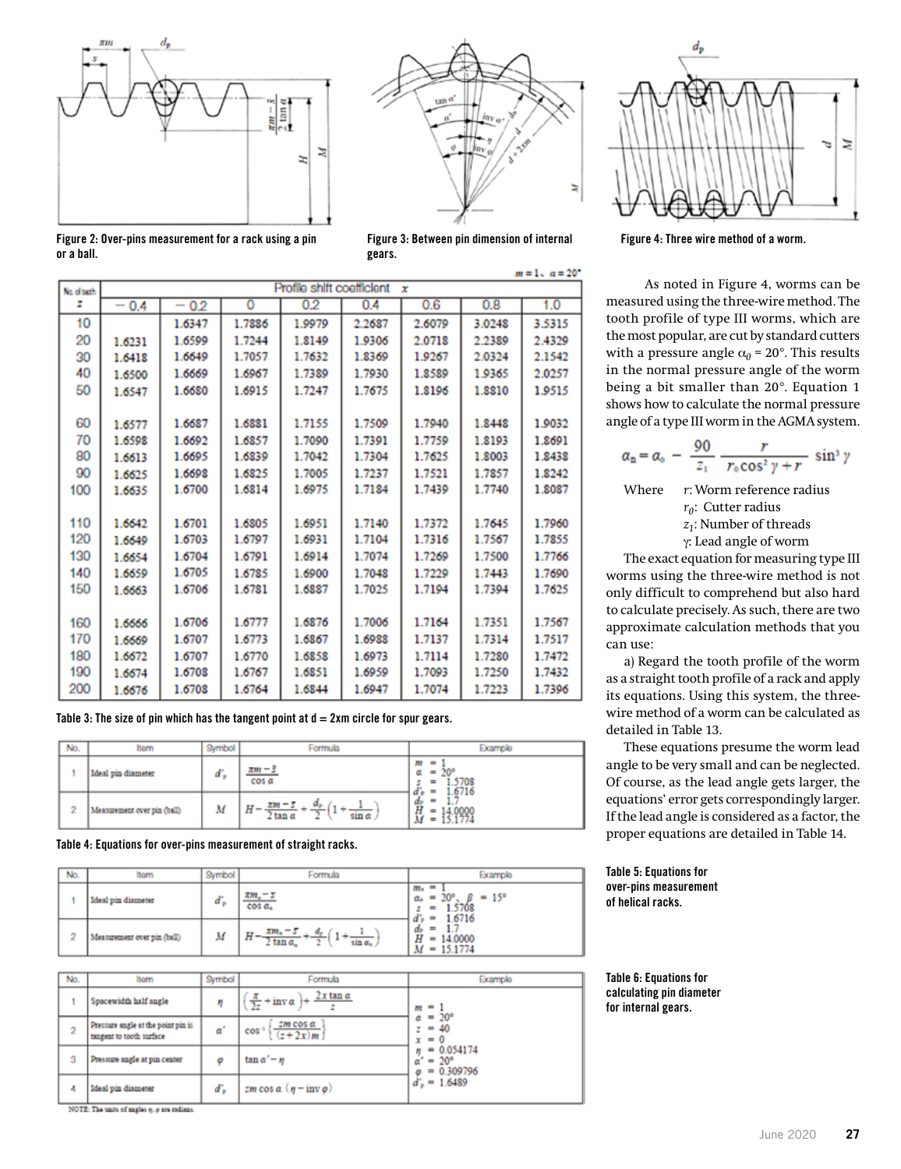



Figure 2: Over-pins measurement for a rack using a pin or a ball.

 $m=1$ ,  $\alpha=20^{\circ}$ Profile shift coefficient x No. of tach z  $-0.4$  $-0.2$ 0  $0.2$  $0.4$  $0.6$  $0.8$  $1.0$  $10$ 1.6347 1.7886 1.9979 2.2687 2.6079 3.0248 3.5315 20 1.6500 1.7244 1.8140 1.9306 2.0718 2.2389 2.4329 1.6231 1.7057 1.8369 2.0324 2.1542 30 1.6418 1.6649 1.7632 1.9267 1.6967 1.7389 1.7930 40 1.6500 1.6669 1.8589 1.9365 2.0257 50 1.6547 1.6680 1.6915 1.7247 1.7675 1.8196 1.8810 1.9515 60 1.6881 1.6577 1.6687 1.7155 1.7509 1.7940 1.8448 1.0032 70 1.6598 1.6692 1.6857 1.7090 1.7391 1.7759 1.8193 1.8691 80 1.6839 1.7304 1.8003 1.8438 1.6613 1.6695 1.7042 1.7625 1.8242 90 1.6825 1.7237 1.7857 1.6625 1.6698 1.7005 1.7521 1.6814 1.6975 1.7184 1.7439 1.7740 1.8087 1.6700 100 1.6635 110 1.6642 1.6701 1.6805 1.6951 1.7140 1.7645 1.7960 1.7372 120 1.6703 1.6797 1.7104 1.6649 1.6931 1.7316 1.7567 1.7855 130 1.6654 1.6704 1.6791 1.6914 1.7074 1.7269 1.7500 1.7766 1.6705 140 1.6659 1.6785 1.6900 1.7048 1.7229 1.7443 1.7690 150 1.6663 1.6706 1.6781 1.6887 1.7025 1.7194 1.7394 1.7625 1.6777 1.7006 160 1.6666 1.6706 1.6876 1.7164 1.7351 1.7567 170 1.6707 1.6773 1.6867 1.6988 1.7137 1.7314 1.7517 1.6669 180 1.6672 1.6707 1.6770 1.6858 1.6973 1.7114 1.7280 1.7472 190 1.6708 1.6767 1.6851 1.6959 1.7093 1.7250 1.7432 1.6674 200 1.6708 1.6764 1.6947 1.7223 1.7396 1.6676 1.6844 1.7074

gears.

Table 3: The size of pin which has the tangent point at  $d = 2xm$  circle for spur gears.

| No.            | hom                         | Symbol | Formula                                     | Example                                                                   |
|----------------|-----------------------------|--------|---------------------------------------------|---------------------------------------------------------------------------|
|                | Ideal pin diameter          | ď,     | $\pi m - s$<br>cos a                        | $\qquad \qquad \blacksquare$<br>m<br>ш<br>a<br>۵V<br>$\equiv$<br>$\equiv$ |
| $\overline{2}$ | Measurement over pin (ball) | М      | đ.<br>$\pi m =$<br>Η<br>tan a<br>sin a<br>۰ | 0/10<br>đ<br>۰<br>đr<br>≕<br>М<br>$\equiv$                                |

Table 4: Equations for over-pins measurement of straight racks.

| No. | Symbol<br>ltem              |   | Formula                                                               | Example                                                                                                      |
|-----|-----------------------------|---|-----------------------------------------------------------------------|--------------------------------------------------------------------------------------------------------------|
|     | Ideal pin diameter          | ď | $\pi m - s$<br>cos a <sub>n</sub>                                     | $m_{\rm n}$ =<br>$= 15^{\circ}$<br>$20^{\circ}$<br>$a_n = 1$<br>.5708<br>$\equiv$<br>1.6716<br>$\frac{1}{2}$ |
| 2   | Measurement over pin (ball) | м | d.<br>$\pi m_* - 5$<br>T<br>n<br>$\sin \alpha_n$<br>$tan \alpha$<br>۰ | $d_{\rm P}$<br>$\equiv$<br>do<br>Η<br>14,0000<br>$\blacksquare$<br>$= 15.1774$<br>M                          |

| No.            | Itom                                                           | Symbol | Formula                                             | Example                                                                                                                                     |  |
|----------------|----------------------------------------------------------------|--------|-----------------------------------------------------|---------------------------------------------------------------------------------------------------------------------------------------------|--|
|                | Spacewidth half angle                                          | m      | $2x \tan \alpha$<br>$\frac{\pi}{2z}$ + inv $\alpha$ | $\blacksquare$<br>m                                                                                                                         |  |
| $\overline{2}$ | Pressure angle at the point pin is<br>tangent to tooth surface | α      | $\frac{zm \cos \alpha}{(z+2x)m}$<br>$cos^{-1}$      | $= 20^{\circ}$<br>α<br>40<br>$\frac{1}{2} \left( \frac{1}{2} \right) \left( \frac{1}{2} \right) \left( \frac{1}{2} \right)$<br>z<br>$x = 0$ |  |
| 3              | Pressure angle at pin center                                   | ۰      | $\tan \alpha' = \eta$                               | $= 0.054174$<br>η<br>$= 20^{\circ}$<br>$\alpha$<br>$= 0.309796$<br>o                                                                        |  |
| 4              | Ideal pin diameter                                             | ď,     | zm cos $\alpha$ ( $\eta$ – inv $\rho$ )             | $d'_{p} = 1.6489$                                                                                                                           |  |

NOTE: The units of angles q, p are radians.



Figure 4: Three wire method of a worm.

As noted in Figure 4, worms can be measured using the three-wire method. The tooth profile of type III worms, which are the most popular, are cut by standard cutters with a pressure angle  $\alpha_0$  = 20°. This results in the normal pressure angle of the worm being a bit smaller than 20°. Equation 1 shows how to calculate the normal pressure angle of a type III worm in the AGMA system.

$$
a_{\rm n}=a_{\rm o}\,-\,\frac{90}{z_{\rm n}}\,\frac{r}{r_{\rm o}\cos^2\gamma+r}\,\sin^3\gamma
$$

Where *r*: Worm reference radius *r*<sup>0</sup>: Cutter radius *z1*: Number of threads γ: Lead angle of worm

The exact equation for measuring type III worms using the three-wire method is not only difficult to comprehend but also hard to calculate precisely. As such, there are two approximate calculation methods that you can use:

a) Regard the tooth profile of the worm as a straight tooth profile of a rack and apply its equations. Using this system, the threewire method of a worm can be calculated as detailed in Table 13.

These equations presume the worm lead angle to be very small and can be neglected. Of course, as the lead angle gets larger, the equations' error gets correspondingly larger. If the lead angle is considered as a factor, the proper equations are detailed in Table 14.

## Table 5: Equations for over-pins measurement of helical racks.

Table 6: Equations for calculating pin diameter for internal gears.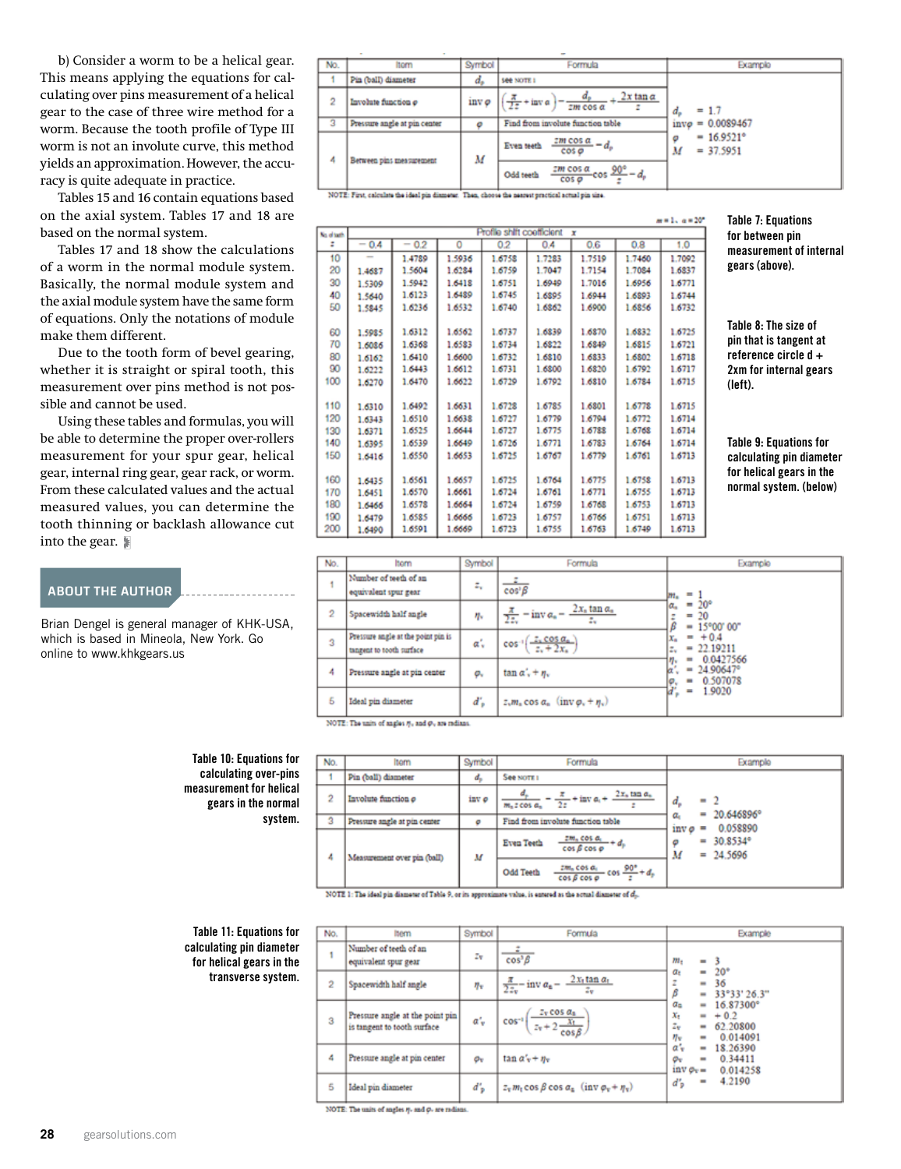b) Consider a worm to be a helical gear. This means applying the equations for cal culating over pins measurement of a helical gear to the case of three wire method for a worm. Because the tooth profile of Type III worm is not an involute curve, this method yields an approximation. However, the accu racy is quite adequate in practice.

Tables 15 and 16 contain equations based on the axial system. Tables 17 and 18 are based on the normal system.

Tables 17 and 18 show the calculations of a worm in the normal module system. Basically, the normal module system and the axial module system have the same form of equations. Only the notations of module make them different.

Due to the tooth form of bevel gearing, whether it is straight or spiral tooth, this measurement over pins method is not pos sible and cannot be used.

Using these tables and formulas, you will be able to determine the proper over-rollers measurement for your spur gear, helical gear, internal ring gear, gear rack, or worm. From these calculated values and the actual measured values, you can determine the tooth thinning or backlash allowance cut into the gear.

## ABOUT THE AUTHOR

Brian Dengel is general manager of KHK-USA, which is based in Mineola, New York. Go online to [www.khkgears.us](http://www.khkgears.us)

> Table 10: Equations for calculating over-pins measurement for helical gears in the normal system.

--------------------

| No.                     | Itom                                                                                          | Symbol | Formula                                                                                                    | Example                                           |
|-------------------------|-----------------------------------------------------------------------------------------------|--------|------------------------------------------------------------------------------------------------------------|---------------------------------------------------|
|                         | Pin (ball) diameter                                                                           | d.     | <b>See NOTE I</b>                                                                                          |                                                   |
| $\overline{2}$          | Involute function o                                                                           | inv ø  | $2x \tan \alpha$<br>$2m$ cos $\alpha$                                                                      | $= 1.7$<br>d.                                     |
| $\overline{\mathbf{3}}$ | Pressure angle at pin center                                                                  |        | Find from involute function table                                                                          | $= 0.0089467$<br>invo                             |
| 4                       | Between pins measurement                                                                      | М      | $\frac{2m\cos\alpha}{a} - d_p$<br>Even teeth<br>$cos \sigma$                                               | $= 16.9521$ <sup>*</sup><br>Θ<br>М<br>$= 37.5951$ |
|                         |                                                                                               |        | $\frac{2m \cos \alpha}{2m \cos \alpha} \cos \frac{90^{\circ}}{m} - d_{\rm p}$<br>Odd teeth<br>$cos \sigma$ |                                                   |
|                         | MATE: They extented the ideal site discusses. They always the company angeled could six their |        |                                                                                                            |                                                   |

| Profile shift coefficient x<br>ka altazh<br>for between pin<br>$-0.4$<br>1,0<br>z<br>0.2<br>٥<br>0.2<br>0.6<br>0.8<br>0.4<br>$\overline{\phantom{a}}$<br>measurement of internal<br>10<br>1.6758<br>1.7283<br>1.7519<br>1.7092<br>1.4789<br>1.5936<br>1.7460<br>gears (above).<br>20<br>1.6284<br>1.6759<br>1.7047<br>1.7154<br>1.7084<br>1.6837<br>1.5604<br>1.4687<br>30<br>1.6751<br>1.5942<br>1.6418<br>1.6949<br>1.7016<br>1.6956<br>1.6771<br>1.5309<br>40<br>1.6489<br>1.6745<br>1.6123<br>1.6895<br>1.6944<br>1.6893<br>1.6744<br>1.5640<br>50<br>1.6532<br>1.6740<br>1.6236<br>1.6862<br>1.6900<br>1.6856<br>1.6732<br>1.5845<br>Table 8: The size of<br>1.6725<br>1.6312<br>1.6562<br>1.6737<br>1.6839<br>1.6870<br>1.6832<br>60<br>1.5985<br>pin that is tangent at<br>70<br>1.6368<br>1.6583<br>1.6734<br>1.6822<br>1.6849<br>1.6815<br>1.6721<br>1.6086<br>reference circle $d +$<br>80<br>1.6732<br>1.6718<br>1.6410<br>1.6600<br>1.6810<br>1,6833<br>1.6802<br>1.6162<br>90<br>1.6612<br>1.6731<br>1,6820<br>1.6792<br>1.6717<br>1.6443<br>1.6800<br>2xm for internal gears<br>1.6222<br>100<br>1.6729<br>1.6470<br>1.6622<br>1.6792<br>1,6810<br>1.6784<br>1.6715<br>1.6270<br>(left).<br>110<br>1.6728<br>1.6785<br>1.6801<br>1.6778<br>1.6715<br>1.6492<br>1.6631<br>1.6310<br>120<br>1.6727<br>1.6714<br>1.6510<br>1.6638<br>1.6779<br>1.6794<br>1.6772<br>1.6343<br>1.6644<br>1.6727<br>1.6775<br>1.6788<br>1.6768<br>1.6714<br>130<br>1.6525<br>1.6371<br><b>Table 9: Equations for</b><br>140<br>1.6539<br>1.6726<br>1.6771<br>1,6783<br>1.6764<br>1.6714<br>1.6649<br>1.6395<br>150<br>1.6779<br>1.6725<br>1.6761<br>1.6713<br>1.6550<br>1.6653<br>1.6767<br>calculating pin diameter<br>1.6416<br>for helical gears in the<br>160<br>1.6713<br>1.6725<br>1.6764<br>1.6775<br>1.6758<br>1.6561<br>1.6657<br>1.6435<br>normal system. (below)<br>1.6713<br>170<br>1.6570<br>1.6724<br>1.6761<br>1.6771<br>1.6755<br>1.6661<br>1.6451<br>180<br>1.6753<br>1.6578<br>1.6664<br>1.6724<br>1.6759<br>1.6768<br>1.6713<br>1.6466<br>190<br>1.6723<br>1.6751<br>1.6713<br>1.6585<br>1.6666<br>1.6757<br>1.6766<br>1.6479<br>200<br>1.6723<br>1.6755<br>1.6749<br>1.6713<br>1.6591<br>1.6669<br>1.6763<br>1.6490 |  |  |  |  | $m = 1. a = 20^{\circ}$ | <b>Table 7: Equations</b> |
|---------------------------------------------------------------------------------------------------------------------------------------------------------------------------------------------------------------------------------------------------------------------------------------------------------------------------------------------------------------------------------------------------------------------------------------------------------------------------------------------------------------------------------------------------------------------------------------------------------------------------------------------------------------------------------------------------------------------------------------------------------------------------------------------------------------------------------------------------------------------------------------------------------------------------------------------------------------------------------------------------------------------------------------------------------------------------------------------------------------------------------------------------------------------------------------------------------------------------------------------------------------------------------------------------------------------------------------------------------------------------------------------------------------------------------------------------------------------------------------------------------------------------------------------------------------------------------------------------------------------------------------------------------------------------------------------------------------------------------------------------------------------------------------------------------------------------------------------------------------------------------------------------------------------------------------------------------------------------------------------------------------------------------------------------------------------------------------------------------------------------------------------------------------------------------------------------------------------------------|--|--|--|--|-------------------------|---------------------------|
|                                                                                                                                                                                                                                                                                                                                                                                                                                                                                                                                                                                                                                                                                                                                                                                                                                                                                                                                                                                                                                                                                                                                                                                                                                                                                                                                                                                                                                                                                                                                                                                                                                                                                                                                                                                                                                                                                                                                                                                                                                                                                                                                                                                                                                 |  |  |  |  |                         |                           |
|                                                                                                                                                                                                                                                                                                                                                                                                                                                                                                                                                                                                                                                                                                                                                                                                                                                                                                                                                                                                                                                                                                                                                                                                                                                                                                                                                                                                                                                                                                                                                                                                                                                                                                                                                                                                                                                                                                                                                                                                                                                                                                                                                                                                                                 |  |  |  |  |                         |                           |
|                                                                                                                                                                                                                                                                                                                                                                                                                                                                                                                                                                                                                                                                                                                                                                                                                                                                                                                                                                                                                                                                                                                                                                                                                                                                                                                                                                                                                                                                                                                                                                                                                                                                                                                                                                                                                                                                                                                                                                                                                                                                                                                                                                                                                                 |  |  |  |  |                         |                           |
|                                                                                                                                                                                                                                                                                                                                                                                                                                                                                                                                                                                                                                                                                                                                                                                                                                                                                                                                                                                                                                                                                                                                                                                                                                                                                                                                                                                                                                                                                                                                                                                                                                                                                                                                                                                                                                                                                                                                                                                                                                                                                                                                                                                                                                 |  |  |  |  |                         |                           |
|                                                                                                                                                                                                                                                                                                                                                                                                                                                                                                                                                                                                                                                                                                                                                                                                                                                                                                                                                                                                                                                                                                                                                                                                                                                                                                                                                                                                                                                                                                                                                                                                                                                                                                                                                                                                                                                                                                                                                                                                                                                                                                                                                                                                                                 |  |  |  |  |                         |                           |
|                                                                                                                                                                                                                                                                                                                                                                                                                                                                                                                                                                                                                                                                                                                                                                                                                                                                                                                                                                                                                                                                                                                                                                                                                                                                                                                                                                                                                                                                                                                                                                                                                                                                                                                                                                                                                                                                                                                                                                                                                                                                                                                                                                                                                                 |  |  |  |  |                         |                           |
|                                                                                                                                                                                                                                                                                                                                                                                                                                                                                                                                                                                                                                                                                                                                                                                                                                                                                                                                                                                                                                                                                                                                                                                                                                                                                                                                                                                                                                                                                                                                                                                                                                                                                                                                                                                                                                                                                                                                                                                                                                                                                                                                                                                                                                 |  |  |  |  |                         |                           |
|                                                                                                                                                                                                                                                                                                                                                                                                                                                                                                                                                                                                                                                                                                                                                                                                                                                                                                                                                                                                                                                                                                                                                                                                                                                                                                                                                                                                                                                                                                                                                                                                                                                                                                                                                                                                                                                                                                                                                                                                                                                                                                                                                                                                                                 |  |  |  |  |                         |                           |
|                                                                                                                                                                                                                                                                                                                                                                                                                                                                                                                                                                                                                                                                                                                                                                                                                                                                                                                                                                                                                                                                                                                                                                                                                                                                                                                                                                                                                                                                                                                                                                                                                                                                                                                                                                                                                                                                                                                                                                                                                                                                                                                                                                                                                                 |  |  |  |  |                         |                           |
|                                                                                                                                                                                                                                                                                                                                                                                                                                                                                                                                                                                                                                                                                                                                                                                                                                                                                                                                                                                                                                                                                                                                                                                                                                                                                                                                                                                                                                                                                                                                                                                                                                                                                                                                                                                                                                                                                                                                                                                                                                                                                                                                                                                                                                 |  |  |  |  |                         |                           |
|                                                                                                                                                                                                                                                                                                                                                                                                                                                                                                                                                                                                                                                                                                                                                                                                                                                                                                                                                                                                                                                                                                                                                                                                                                                                                                                                                                                                                                                                                                                                                                                                                                                                                                                                                                                                                                                                                                                                                                                                                                                                                                                                                                                                                                 |  |  |  |  |                         |                           |
|                                                                                                                                                                                                                                                                                                                                                                                                                                                                                                                                                                                                                                                                                                                                                                                                                                                                                                                                                                                                                                                                                                                                                                                                                                                                                                                                                                                                                                                                                                                                                                                                                                                                                                                                                                                                                                                                                                                                                                                                                                                                                                                                                                                                                                 |  |  |  |  |                         |                           |
|                                                                                                                                                                                                                                                                                                                                                                                                                                                                                                                                                                                                                                                                                                                                                                                                                                                                                                                                                                                                                                                                                                                                                                                                                                                                                                                                                                                                                                                                                                                                                                                                                                                                                                                                                                                                                                                                                                                                                                                                                                                                                                                                                                                                                                 |  |  |  |  |                         |                           |
|                                                                                                                                                                                                                                                                                                                                                                                                                                                                                                                                                                                                                                                                                                                                                                                                                                                                                                                                                                                                                                                                                                                                                                                                                                                                                                                                                                                                                                                                                                                                                                                                                                                                                                                                                                                                                                                                                                                                                                                                                                                                                                                                                                                                                                 |  |  |  |  |                         |                           |
|                                                                                                                                                                                                                                                                                                                                                                                                                                                                                                                                                                                                                                                                                                                                                                                                                                                                                                                                                                                                                                                                                                                                                                                                                                                                                                                                                                                                                                                                                                                                                                                                                                                                                                                                                                                                                                                                                                                                                                                                                                                                                                                                                                                                                                 |  |  |  |  |                         |                           |
|                                                                                                                                                                                                                                                                                                                                                                                                                                                                                                                                                                                                                                                                                                                                                                                                                                                                                                                                                                                                                                                                                                                                                                                                                                                                                                                                                                                                                                                                                                                                                                                                                                                                                                                                                                                                                                                                                                                                                                                                                                                                                                                                                                                                                                 |  |  |  |  |                         |                           |
|                                                                                                                                                                                                                                                                                                                                                                                                                                                                                                                                                                                                                                                                                                                                                                                                                                                                                                                                                                                                                                                                                                                                                                                                                                                                                                                                                                                                                                                                                                                                                                                                                                                                                                                                                                                                                                                                                                                                                                                                                                                                                                                                                                                                                                 |  |  |  |  |                         |                           |
|                                                                                                                                                                                                                                                                                                                                                                                                                                                                                                                                                                                                                                                                                                                                                                                                                                                                                                                                                                                                                                                                                                                                                                                                                                                                                                                                                                                                                                                                                                                                                                                                                                                                                                                                                                                                                                                                                                                                                                                                                                                                                                                                                                                                                                 |  |  |  |  |                         |                           |
|                                                                                                                                                                                                                                                                                                                                                                                                                                                                                                                                                                                                                                                                                                                                                                                                                                                                                                                                                                                                                                                                                                                                                                                                                                                                                                                                                                                                                                                                                                                                                                                                                                                                                                                                                                                                                                                                                                                                                                                                                                                                                                                                                                                                                                 |  |  |  |  |                         |                           |
|                                                                                                                                                                                                                                                                                                                                                                                                                                                                                                                                                                                                                                                                                                                                                                                                                                                                                                                                                                                                                                                                                                                                                                                                                                                                                                                                                                                                                                                                                                                                                                                                                                                                                                                                                                                                                                                                                                                                                                                                                                                                                                                                                                                                                                 |  |  |  |  |                         |                           |
|                                                                                                                                                                                                                                                                                                                                                                                                                                                                                                                                                                                                                                                                                                                                                                                                                                                                                                                                                                                                                                                                                                                                                                                                                                                                                                                                                                                                                                                                                                                                                                                                                                                                                                                                                                                                                                                                                                                                                                                                                                                                                                                                                                                                                                 |  |  |  |  |                         |                           |
|                                                                                                                                                                                                                                                                                                                                                                                                                                                                                                                                                                                                                                                                                                                                                                                                                                                                                                                                                                                                                                                                                                                                                                                                                                                                                                                                                                                                                                                                                                                                                                                                                                                                                                                                                                                                                                                                                                                                                                                                                                                                                                                                                                                                                                 |  |  |  |  |                         |                           |
|                                                                                                                                                                                                                                                                                                                                                                                                                                                                                                                                                                                                                                                                                                                                                                                                                                                                                                                                                                                                                                                                                                                                                                                                                                                                                                                                                                                                                                                                                                                                                                                                                                                                                                                                                                                                                                                                                                                                                                                                                                                                                                                                                                                                                                 |  |  |  |  |                         |                           |
|                                                                                                                                                                                                                                                                                                                                                                                                                                                                                                                                                                                                                                                                                                                                                                                                                                                                                                                                                                                                                                                                                                                                                                                                                                                                                                                                                                                                                                                                                                                                                                                                                                                                                                                                                                                                                                                                                                                                                                                                                                                                                                                                                                                                                                 |  |  |  |  |                         |                           |
|                                                                                                                                                                                                                                                                                                                                                                                                                                                                                                                                                                                                                                                                                                                                                                                                                                                                                                                                                                                                                                                                                                                                                                                                                                                                                                                                                                                                                                                                                                                                                                                                                                                                                                                                                                                                                                                                                                                                                                                                                                                                                                                                                                                                                                 |  |  |  |  |                         |                           |

| No. | Itom                                                           | Symbol | Formula                                                                              |                |                                                          | Example                                  |  |  |
|-----|----------------------------------------------------------------|--------|--------------------------------------------------------------------------------------|----------------|----------------------------------------------------------|------------------------------------------|--|--|
| 1   | Number of teeth of an<br>equivalent spur gear                  | z,     | $cos^3\beta$                                                                         | m <sub>n</sub> | $=$                                                      |                                          |  |  |
| 2   | Spacewidth half angle                                          | ŋ,     | $2x_n \tan \alpha_n$<br>$\frac{\pi}{2\pi}$<br>$-\operatorname{inv} a_{\ast}$ –<br>z. | a.             | $\equiv$<br>$= 20$                                       | 20 <sup>o</sup><br>$= 15^{\circ}00'00''$ |  |  |
| 3   | Pressure angle at the point pin is<br>tangent to tooth surface | αl.    | $\left(\frac{z_v \cos \alpha_v}{z_v + 2x_u}\right)$<br>cos <sup>-</sup>              | $x_{n}$<br>z,  |                                                          | $= +0.4$<br>$= 22.19211$                 |  |  |
| 4   | Pressure angle at pin center                                   | o.     | $\tan \alpha'$ , + $\eta$ <sub>v</sub>                                               | η<br>ø         | 0.0427566<br>$\equiv$<br>$= 24.90647$ °<br>0.507078<br>۰ |                                          |  |  |
| 6   | Ideal pin diameter                                             | ď,     | $z,m_n \cos \alpha_n$ (inv $\varphi_n + \eta_n$ )                                    | a              | $\equiv$                                                 | 1.9020                                   |  |  |

NOTE: The units of angles #, and @, are radiant.

| No.              | Item                         | Symbol | Formula                                                                                 | Example                                                                 |
|------------------|------------------------------|--------|-----------------------------------------------------------------------------------------|-------------------------------------------------------------------------|
|                  | Pin (ball) diameter          | d,     | See NOTE I                                                                              |                                                                         |
| $\overline{2}$   | Involute function o          | inv ø  | $2x_n$ tan $a_n$<br>2z<br>$mn$ $z$ cos $an$                                             | $\blacksquare$<br>- 2<br>$a_{\rm n}$<br>20.646896°<br>$\qquad \qquad =$ |
| 3                | Pressure angle at pin center | Θ      | Find from involute function table                                                       | $\alpha$<br>0.058890<br>inv ø<br>$\equiv$                               |
| $\boldsymbol{A}$ | Measurement over pin (ball)  | M      | $2m_n \cos \alpha_1 + d_p$<br>Even Teeth<br>$cos \beta cos \varphi$                     | $= 30.8534$ °<br>o<br>$= 24.5696$<br>М                                  |
|                  |                              |        | $cos \frac{90^\circ}{2} + d$<br>$270n$ COS $G1$<br>Odd Teeth<br>$cos \beta cos \varphi$ |                                                                         |

NOTE 1: The ideal pin diameter of Table 9, or its approximate value, is entered as the actual diameter of  $d_{\rm p}$ .

| <b>Table 11: Equations for</b> |
|--------------------------------|
| calculating pin diameter       |
| for helical gears in the       |
| transverse system.             |
|                                |

| No.            | hem                                                            | Symbol           | Formula                                                                        | Example                                                                                                                                    |
|----------------|----------------------------------------------------------------|------------------|--------------------------------------------------------------------------------|--------------------------------------------------------------------------------------------------------------------------------------------|
| 1              | Number of teeth of an<br>equivalent spur gear                  | Σv               | cos <sup>3</sup> B                                                             | m,<br>٠                                                                                                                                    |
| $\overline{2}$ | Spacewidth half angle                                          | $\eta_{\pi}$     | $2x_1 \tan \alpha_1$<br>$\frac{\pi}{2z_v}$ - inv $a_n$ -<br>$z_{\rm v}$        | $20^{\circ}$<br>$a_{t}$<br>٠<br>ż<br>36<br>$\qquad \qquad \blacksquare$<br>β<br>33°33' 26.3"<br>$\blacksquare$                             |
| 3              | Pressure angle at the point pin<br>is tangent to tooth surface | α',              | $2v \cos \alpha$<br>$cos^{-1}$<br>$z_v + 2 \frac{At}{1.1}$<br>cos <sub>B</sub> | 16.87300°<br>a <sub>n</sub><br>۰<br>X.<br>$+0.2$<br>$\frac{1}{2}$<br>Σv<br>62.20800<br>-<br>0.014091<br>ηv<br>$\qquad \qquad \blacksquare$ |
| 4              | Pressure angle at pin center                                   | $\sigma_{\rm v}$ | $\tan \alpha'_{\rm V} + \eta_{\rm V}$                                          | α' <sub>τ</sub><br>18.26390<br>0.34411<br>Φv<br>$\qquad \qquad \blacksquare$<br>$inv \varphi_v =$<br>0.014258                              |
| 5              | Ideal pin diameter                                             | ď,               | $z_x m_t \cos \beta \cos \alpha_z$ (inv $\varphi_x + \eta_x$ )                 | 4.2190<br>ď,<br>$\overline{\phantom{a}}$                                                                                                   |

NOTE: The units of angles  $\eta_*$  and  $\varphi_*$  are radians.